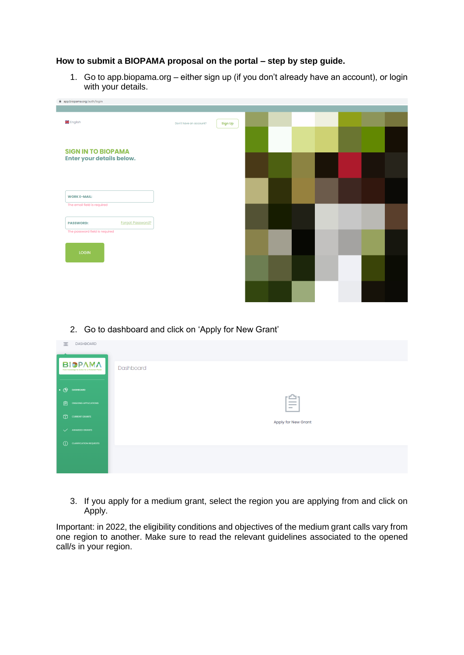## **How to submit a BIOPAMA proposal on the portal – step by step guide.**

1. Go to app.biopama.org – either sign up (if you don't already have an account), or login with your details.

| app.biopama.org/auth/login                         |                        |         |  |  |  |  |
|----------------------------------------------------|------------------------|---------|--|--|--|--|
|                                                    |                        |         |  |  |  |  |
| <b>张</b> English                                   | Don't have an account? | Sign Up |  |  |  |  |
|                                                    |                        |         |  |  |  |  |
| <b>SIGN IN TO BIOPAMA</b>                          |                        |         |  |  |  |  |
| Enter your details below.                          |                        |         |  |  |  |  |
|                                                    |                        |         |  |  |  |  |
|                                                    |                        |         |  |  |  |  |
| <b>WORK E-MAIL:</b><br>The email field is required |                        |         |  |  |  |  |
|                                                    |                        |         |  |  |  |  |
| <b>Forgot Password?</b><br><b>PASSWORD:</b>        |                        |         |  |  |  |  |
| The password field is required                     |                        |         |  |  |  |  |
| LOGIN                                              |                        |         |  |  |  |  |
|                                                    |                        |         |  |  |  |  |
|                                                    |                        |         |  |  |  |  |
|                                                    |                        |         |  |  |  |  |
|                                                    |                        |         |  |  |  |  |

## 2. Go to dashboard and click on 'Apply for New Grant'

| 目               | DASHBOARD                                                         |                                                             |
|-----------------|-------------------------------------------------------------------|-------------------------------------------------------------|
|                 | <b>BIOPAMA</b><br>From Knowledge to Action for a Protected Planet | Dashboard                                                   |
| $\cdot$ $\circ$ | <b>DASHBOARD</b>                                                  |                                                             |
| 圁               | ONGOING APPLICATIONS                                              | гŴ<br><b>Contract Contract</b><br><b>Contract</b><br>$\sim$ |
| $\circledR$     | <b>CURRENT GRANTS</b>                                             | Apply for New Grant                                         |
| $\checkmark$    | <b>AWARDED GRANTS</b>                                             |                                                             |
| $\odot$         | <b>CLARIFICATION REQUESTS</b>                                     |                                                             |
|                 |                                                                   |                                                             |
|                 |                                                                   |                                                             |

3. If you apply for a medium grant, select the region you are applying from and click on Apply.

Important: in 2022, the eligibility conditions and objectives of the medium grant calls vary from one region to another. Make sure to read the relevant guidelines associated to the opened call/s in your region.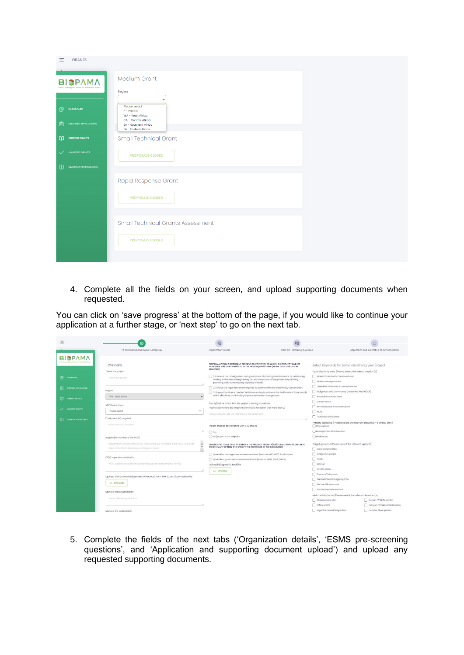| 亖<br><b>GRANTS</b>                                                                |                                                                                                                                          |
|-----------------------------------------------------------------------------------|------------------------------------------------------------------------------------------------------------------------------------------|
| ΒΙΟΡΛΜΛ<br>to to Action for a Protected Plane                                     | Medium Grant<br>Region                                                                                                                   |
| (ቅ<br><b>DASHBOARD</b><br>訚<br><b>ONGOING APPLICATIONS</b>                        | $\checkmark$<br>Please select<br>$P - Pacific$<br>WA - West Africa<br>CA - Central Africa<br>SA - Southern Africa<br>EA - Eastern Africa |
| ⊕<br><b>CURRENT GRANTS</b>                                                        | <b>Small Technical Grant</b>                                                                                                             |
| <b>AWARDED GRANTS</b><br>$\checkmark$<br><b>CLARIFICATION REQUESTS</b><br>$\odot$ | <b>PROPOSALS CLOSED</b>                                                                                                                  |
|                                                                                   |                                                                                                                                          |
|                                                                                   | Rapid Response Grant                                                                                                                     |
|                                                                                   | <b>PROPOSALS CLOSED</b>                                                                                                                  |
|                                                                                   | <b>Small Technical Grants Assessment</b>                                                                                                 |
|                                                                                   | <b>PROPOSALS CLOSED</b>                                                                                                                  |
|                                                                                   |                                                                                                                                          |

4. Complete all the fields on your screen, and upload supporting documents when requested.

You can click on 'save progress' at the bottom of the page, if you would like to continue your application at a further stage, or 'next step' to go on the next tab.

| 吾                                                                                                                                                                                        |                                                                                                                                                                                | 図                                                                                                                                                                                                   |                                                                                                                                                                                                                                                                                                                                           |                                                                                                                                                          |
|------------------------------------------------------------------------------------------------------------------------------------------------------------------------------------------|--------------------------------------------------------------------------------------------------------------------------------------------------------------------------------|-----------------------------------------------------------------------------------------------------------------------------------------------------------------------------------------------------|-------------------------------------------------------------------------------------------------------------------------------------------------------------------------------------------------------------------------------------------------------------------------------------------------------------------------------------------|----------------------------------------------------------------------------------------------------------------------------------------------------------|
|                                                                                                                                                                                          | PA Information and Project Description                                                                                                                                         | Organization Details                                                                                                                                                                                | ESMS pre-screening questions                                                                                                                                                                                                                                                                                                              | Application and supporting document upload                                                                                                               |
| DASHIGARD<br>Θ                                                                                                                                                                           | 1. OVERVIEW<br>Title of the project<br>Tido of the project.                                                                                                                    | SELECTED)                                                                                                                                                                                           | BIOPAMA ACTION COMPONENT SPECIFIC OBJECTIVE(S) TO WHICH THE PROJECT AND ITS<br>ACTIVITIES WILL CONTRIBUTE TO IN THE MEDIUM/LONG TERM: (MORE THAN ONE CAN BE<br>1. Enhance the management and governance of priority protected areas by addressing<br>existing limitations (strengthening on-site infrastructure/equipment for patrolling, | Select keywords for better identifying your project<br>Type of priority area (Please select the relevant option(s)<br>Marine Protected & Conserved Area  |
| DNOORIO APPLICATIONS<br><b>CCI</b> CURRENT ORANTS                                                                                                                                        | Region<br>WA - West Africa                                                                                                                                                     | poaching control, developing capacity of staff);<br>whilst effectively contributing to protected areas management.                                                                                  | 2 Enforce the legal framework required to achieve effective biodiversity conservation;<br>3. Support local communities' initiatives aiming to enhance the livelihoods of local people                                                                                                                                                     | Marine Managed areas<br>Terrestrial Protected & conserved Area<br>Indigenous and Community Conserved Area (ICCA)<br>Privately Protected area             |
| AVANCED GEARES                                                                                                                                                                           | ACP Country(ios)<br>Please select<br>Priority area(s) targeted                                                                                                                 | Priority(ies) for action that the project is aiming to address<br>Please specify here the targeted priority(ies) for action (not more than 2)<br>Please indicate here the reference of the document |                                                                                                                                                                                                                                                                                                                                           | Conservancy<br>Key landscape for conservation<br>RBA<br>Transboundary areas                                                                              |
| <b>CLARE CARRICATION REQUESTS</b>                                                                                                                                                        | Priority area (s) targeted                                                                                                                                                     | Project enables data sharing with RRIS and RIS<br>$O$ Yes                                                                                                                                           |                                                                                                                                                                                                                                                                                                                                           | Primary objective ( Please select the relevant objective - I choice only)<br>Governance<br>( ) Management Effectiveness                                  |
|                                                                                                                                                                                          | Registration number of the PA(s)<br>Registration number of the PA(s). Please indicate "Not listed" if the PA(s) la/are not<br>listed in the World Dotabase on Protected Areos. | No (project is not eligible)<br>THE RELEVANT OPTION AND SPECIFY THE REFERENCE OF THE DOCUMENT)                                                                                                      | DIAGNOSTIC TOOLS USED TO IDENTIFY THE PROJECT PRIORITY (IES) FOR ACTION: (PLEASE TICK                                                                                                                                                                                                                                                     | Livelhoods<br>Target group(s) (Please select the relevant option(s)<br>Local communities                                                                 |
| PA(s) supervisory authority<br>PA(s) supervisory authority (please indicate the exact and full name)<br>Upload the acknowledgement of receipt from the supervisory authority<br>@ UPLOAD |                                                                                                                                                                                | Quantified management assessment tools (such as IMET, METT, RAPPAM, ect.<br>Quantified governance assessment tools (such as SAGE, SAPA, GAPA).<br>Upload diagnostic tool file                       |                                                                                                                                                                                                                                                                                                                                           | indigenous people<br>Vouth<br>Women<br>Private sector                                                                                                    |
|                                                                                                                                                                                          |                                                                                                                                                                                | @ UPLOAD                                                                                                                                                                                            |                                                                                                                                                                                                                                                                                                                                           | Farmers/Fishermen<br>National/local PA agency/PCA<br>National Government<br>Subnational Government                                                       |
|                                                                                                                                                                                          | Name of lead organisation<br>Nome of lead organization:                                                                                                                        |                                                                                                                                                                                                     |                                                                                                                                                                                                                                                                                                                                           | Main activity focus (Please select the relevant keyword(s)<br>Management plan<br>Human-Wildlife conflict<br>Enforcement<br>Ecosystem/habitat restoration |
|                                                                                                                                                                                          | Name of Co-applicant(s)                                                                                                                                                        |                                                                                                                                                                                                     |                                                                                                                                                                                                                                                                                                                                           | Legal framework/Regulation<br>Invasive Alien species                                                                                                     |

5. Complete the fields of the next tabs ('Organization details', 'ESMS pre-screening questions', and 'Application and supporting document upload') and upload any requested supporting documents.